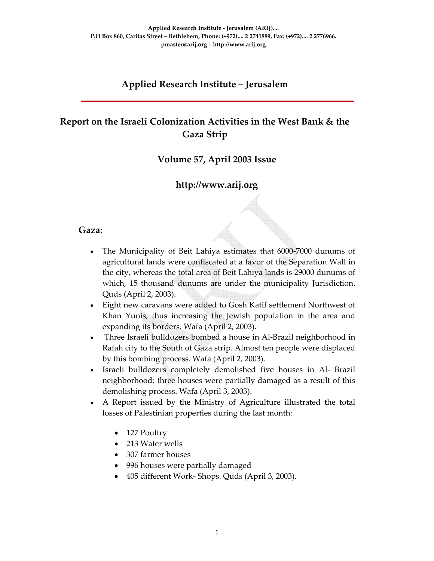### **Applied Research Institute – Jerusalem**

# **Report on the Israeli Colonization Activities in the West Bank & the Gaza Strip**

#### **Volume 57, April 2003 Issue**

#### **http://www.arij.org**

#### **Gaza:**

- The Municipality of Beit Lahiya estimates that 6000-7000 dunums of agricultural lands were confiscated at a favor of the Separation Wall in the city, whereas the total area of Beit Lahiya lands is 29000 dunums of which, 15 thousand dunums are under the municipality Jurisdiction. Quds (April 2, 2003).
- Eight new caravans were added to Gosh Katif settlement Northwest of Khan Yunis, thus increasing the Jewish population in the area and expanding its borders. Wafa (April 2, 2003).
- Three Israeli bulldozers bombed a house in Al‐Brazil neighborhood in Rafah city to the South of Gaza strip. Almost ten people were displaced by this bombing process. Wafa (April 2, 2003).
- Israeli bulldozers completely demolished five houses in Al- Brazil neighborhood; three houses were partially damaged as a result of this demolishing process. Wafa (April 3, 2003).
- A Report issued by the Ministry of Agriculture illustrated the total losses of Palestinian properties during the last month:
	- 127 Poultry
	- 213 Water wells
	- 307 farmer houses
	- 996 houses were partially damaged
	- 405 different Work‐ Shops. Quds (April 3, 2003).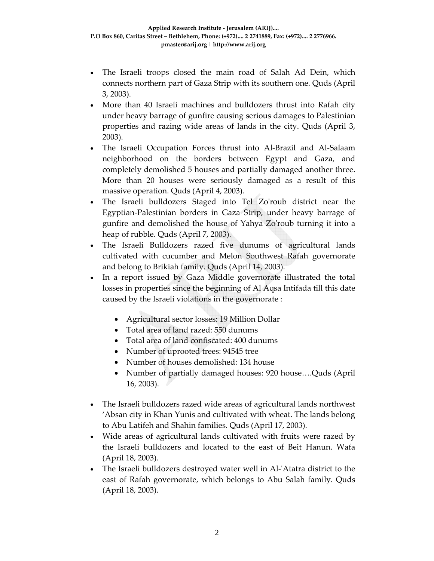- The Israeli troops closed the main road of Salah Ad Dein, which connects northern part of Gaza Strip with its southern one. Quds (April 3, 2003).
- More than 40 Israeli machines and bulldozers thrust into Rafah city under heavy barrage of gunfire causing serious damages to Palestinian properties and razing wide areas of lands in the city. Quds (April 3, 2003).
- The Israeli Occupation Forces thrust into Al‐Brazil and Al‐Salaam neighborhood on the borders between Egypt and Gaza, and completely demolished 5 houses and partially damaged another three. More than 20 houses were seriously damaged as a result of this massive operation. Quds (April 4, 2003).
- The Israeli bulldozers Staged into Tel Zo'roub district near the Egyptian‐Palestinian borders in Gaza Strip, under heavy barrage of gunfire and demolished the house of Yahya Zoʹroub turning it into a heap of rubble. Quds (April 7, 2003).
- The Israeli Bulldozers razed five dunums of agricultural lands cultivated with cucumber and Melon Southwest Rafah governorate and belong to Brikiah family. Quds (April 14, 2003).
- In a report issued by Gaza Middle governorate illustrated the total losses in properties since the beginning of Al Aqsa Intifada till this date caused by the Israeli violations in the governorate :
	- Agricultural sector losses: 19 Million Dollar
	- Total area of land razed: 550 dunums
	- Total area of land confiscated: 400 dunums
	- Number of uprooted trees: 94545 tree
	- Number of houses demolished: 134 house
	- Number of partially damaged houses: 920 house….Quds (April 16, 2003).
- The Israeli bulldozers razed wide areas of agricultural lands northwest 'Absan city in Khan Yunis and cultivated with wheat. The lands belong to Abu Latifeh and Shahin families. Quds (April 17, 2003).
- Wide areas of agricultural lands cultivated with fruits were razed by the Israeli bulldozers and located to the east of Beit Hanun. Wafa (April 18, 2003).
- The Israeli bulldozers destroyed water well in Al-'Atatra district to the east of Rafah governorate, which belongs to Abu Salah family. Quds (April 18, 2003).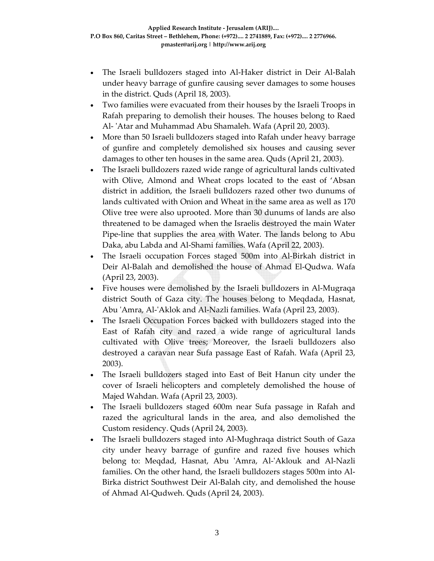- The Israeli bulldozers staged into Al‐Haker district in Deir Al‐Balah under heavy barrage of gunfire causing sever damages to some houses in the district. Quds (April 18, 2003).
- Two families were evacuated from their houses by the Israeli Troops in Rafah preparing to demolish their houses. The houses belong to Raed Al‐ ʹAtar and Muhammad Abu Shamaleh. Wafa (April 20, 2003).
- More than 50 Israeli bulldozers staged into Rafah under heavy barrage of gunfire and completely demolished six houses and causing sever damages to other ten houses in the same area. Quds (April 21, 2003).
- The Israeli bulldozers razed wide range of agricultural lands cultivated with Olive, Almond and Wheat crops located to the east of 'Absan district in addition, the Israeli bulldozers razed other two dunums of lands cultivated with Onion and Wheat in the same area as well as 170 Olive tree were also uprooted. More than 30 dunums of lands are also threatened to be damaged when the Israelis destroyed the main Water Pipe‐line that supplies the area with Water. The lands belong to Abu Daka, abu Labda and Al‐Shami families. Wafa (April 22, 2003).
- The Israeli occupation Forces staged 500m into Al-Birkah district in Deir Al‐Balah and demolished the house of Ahmad El‐Qudwa. Wafa (April 23, 2003).
- Five houses were demolished by the Israeli bulldozers in Al-Mugraqa district South of Gaza city. The houses belong to Meqdada, Hasnat, Abu ʹAmra, Al‐ʹAklok and Al‐Nazli families. Wafa (April 23, 2003).
- The Israeli Occupation Forces backed with bulldozers staged into the East of Rafah city and razed a wide range of agricultural lands cultivated with Olive trees; Moreover, the Israeli bulldozers also destroyed a caravan near Sufa passage East of Rafah. Wafa (April 23, 2003).
- The Israeli bulldozers staged into East of Beit Hanun city under the cover of Israeli helicopters and completely demolished the house of Majed Wahdan. Wafa (April 23, 2003).
- The Israeli bulldozers staged 600m near Sufa passage in Rafah and razed the agricultural lands in the area, and also demolished the Custom residency. Quds (April 24, 2003).
- The Israeli bulldozers staged into Al‐Mughraqa district South of Gaza city under heavy barrage of gunfire and razed five houses which belong to: Meqdad, Hasnat, Abu 'Amra, Al-'Aklouk and Al-Nazli families. On the other hand, the Israeli bulldozers stages 500m into Al‐ Birka district Southwest Deir Al‐Balah city, and demolished the house of Ahmad Al‐Qudweh. Quds (April 24, 2003).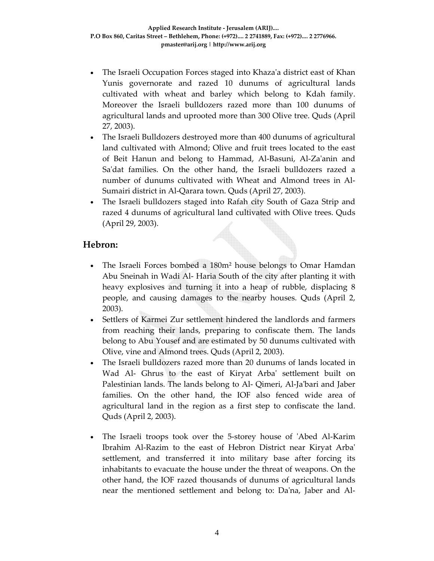- The Israeli Occupation Forces staged into Khazaʹa district east of Khan Yunis governorate and razed 10 dunums of agricultural lands cultivated with wheat and barley which belong to Kdah family. Moreover the Israeli bulldozers razed more than 100 dunums of agricultural lands and uprooted more than 300 Olive tree. Quds (April 27, 2003).
- The Israeli Bulldozers destroyed more than 400 dunums of agricultural land cultivated with Almond; Olive and fruit trees located to the east of Beit Hanun and belong to Hammad, Al‐Basuni, Al‐Zaʹanin and Sa'dat families. On the other hand, the Israeli bulldozers razed a number of dunums cultivated with Wheat and Almond trees in Al‐ Sumairi district in Al‐Qarara town. Quds (April 27, 2003).
- The Israeli bulldozers staged into Rafah city South of Gaza Strip and razed 4 dunums of agricultural land cultivated with Olive trees. Quds (April 29, 2003).

## **Hebron:**

- The Israeli Forces bombed a 180m² house belongs to Omar Hamdan Abu Sneinah in Wadi Al‐ Haria South of the city after planting it with heavy explosives and turning it into a heap of rubble, displacing 8 people, and causing damages to the nearby houses. Quds (April 2, 2003).
- Settlers of Karmei Zur settlement hindered the landlords and farmers from reaching their lands, preparing to confiscate them. The lands belong to Abu Yousef and are estimated by 50 dunums cultivated with Olive, vine and Almond trees. Quds (April 2, 2003).
- The Israeli bulldozers razed more than 20 dunums of lands located in Wad Al- Ghrus to the east of Kiryat Arba' settlement built on Palestinian lands. The lands belong to Al‐ Qimeri, Al‐Jaʹbari and Jaber families. On the other hand, the IOF also fenced wide area of agricultural land in the region as a first step to confiscate the land. Quds (April 2, 2003).
- The Israeli troops took over the 5-storey house of 'Abed Al-Karim Ibrahim Al‐Razim to the east of Hebron District near Kiryat Arbaʹ settlement, and transferred it into military base after forcing its inhabitants to evacuate the house under the threat of weapons. On the other hand, the IOF razed thousands of dunums of agricultural lands near the mentioned settlement and belong to: Da'na, Jaber and Al-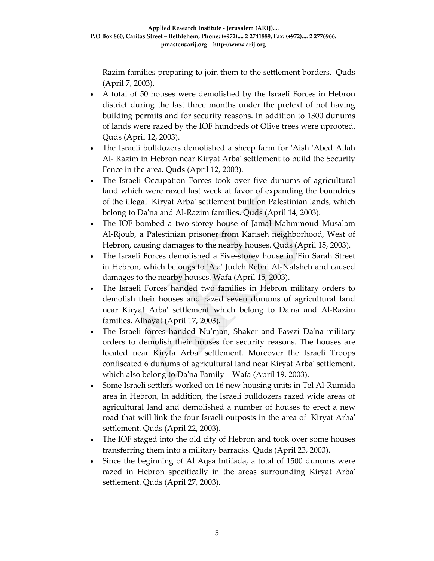Razim families preparing to join them to the settlement borders. Quds (April 7, 2003).

- A total of 50 houses were demolished by the Israeli Forces in Hebron district during the last three months under the pretext of not having building permits and for security reasons. In addition to 1300 dunums of lands were razed by the IOF hundreds of Olive trees were uprooted. Quds (April 12, 2003).
- The Israeli bulldozers demolished a sheep farm for 'Aish 'Abed Allah Al‐ Razim in Hebron near Kiryat Arbaʹ settlement to build the Security Fence in the area. Quds (April 12, 2003).
- The Israeli Occupation Forces took over five dunums of agricultural land which were razed last week at favor of expanding the boundries of the illegal Kiryat Arbaʹ settlement built on Palestinian lands, which belong to Da'na and Al-Razim families. Quds (April 14, 2003).
- The IOF bombed a two‐storey house of Jamal Mahmmoud Musalam Al‐Rjoub, a Palestinian prisoner from Kariseh neighborhood, West of Hebron, causing damages to the nearby houses. Quds (April 15, 2003).
- The Israeli Forces demolished a Five‐storey house in ʹEin Sarah Street in Hebron, which belongs to ʹAlaʹ Judeh Rebhi Al‐Natsheh and caused damages to the nearby houses. Wafa (April 15, 2003).
- The Israeli Forces handed two families in Hebron military orders to demolish their houses and razed seven dunums of agricultural land near Kiryat Arbaʹ settlement which belong to Daʹna and Al‐Razim families. Alhayat (April 17, 2003).
- The Israeli forces handed Nu'man, Shaker and Fawzi Da'na military orders to demolish their houses for security reasons. The houses are located near Kiryta Arbaʹ settlement. Moreover the Israeli Troops confiscated 6 dunums of agricultural land near Kiryat Arbaʹ settlement, which also belong to Da'na Family Wafa (April 19, 2003).
- Some Israeli settlers worked on 16 new housing units in Tel Al-Rumida area in Hebron, In addition, the Israeli bulldozers razed wide areas of agricultural land and demolished a number of houses to erect a new road that will link the four Israeli outposts in the area of Kiryat Arbaʹ settlement. Quds (April 22, 2003).
- The IOF staged into the old city of Hebron and took over some houses transferring them into a military barracks. Quds (April 23, 2003).
- Since the beginning of Al Aqsa Intifada, a total of 1500 dunums were razed in Hebron specifically in the areas surrounding Kiryat Arbaʹ settlement. Quds (April 27, 2003).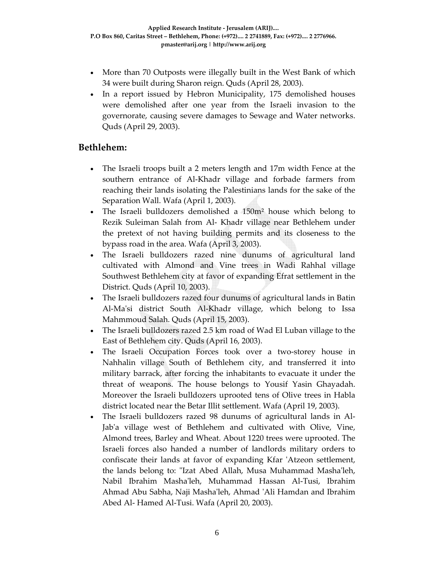- More than 70 Outposts were illegally built in the West Bank of which 34 were built during Sharon reign. Quds (April 28, 2003).
- In a report issued by Hebron Municipality, 175 demolished houses were demolished after one year from the Israeli invasion to the governorate, causing severe damages to Sewage and Water networks. Quds (April 29, 2003).

#### **Bethlehem:**

- The Israeli troops built a 2 meters length and 17m width Fence at the southern entrance of Al-Khadr village and forbade farmers from reaching their lands isolating the Palestinians lands for the sake of the Separation Wall. Wafa (April 1, 2003).
- The Israeli bulldozers demolished a 150m² house which belong to Rezik Suleiman Salah from Al‐ Khadr village near Bethlehem under the pretext of not having building permits and its closeness to the bypass road in the area. Wafa (April 3, 2003).
- The Israeli bulldozers razed nine dunums of agricultural land cultivated with Almond and Vine trees in Wadi Rahhal village Southwest Bethlehem city at favor of expanding Efrat settlement in the District. Quds (April 10, 2003).
- The Israeli bulldozers razed four dunums of agricultural lands in Batin Al-Ma'si district South Al-Khadr village, which belong to Issa Mahmmoud Salah. Quds (April 15, 2003).
- The Israeli bulldozers razed 2.5 km road of Wad El Luban village to the East of Bethlehem city. Quds (April 16, 2003).
- The Israeli Occupation Forces took over a two-storey house in Nahhalin village South of Bethlehem city, and transferred it into military barrack, after forcing the inhabitants to evacuate it under the threat of weapons. The house belongs to Yousif Yasin Ghayadah. Moreover the Israeli bulldozers uprooted tens of Olive trees in Habla district located near the Betar Illit settlement. Wafa (April 19, 2003).
- The Israeli bulldozers razed 98 dunums of agricultural lands in Al-Jab'a village west of Bethlehem and cultivated with Olive, Vine, Almond trees, Barley and Wheat. About 1220 trees were uprooted. The Israeli forces also handed a number of landlords military orders to confiscate their lands at favor of expanding Kfar 'Atzeon settlement, the lands belong to: "Izat Abed Allah, Musa Muhammad Masha'leh, Nabil Ibrahim Mashaʹleh, Muhammad Hassan Al‐Tusi, Ibrahim Ahmad Abu Sabha, Naji Mashaʹleh, Ahmad ʹAli Hamdan and Ibrahim Abed Al‐ Hamed Al‐Tusi. Wafa (April 20, 2003).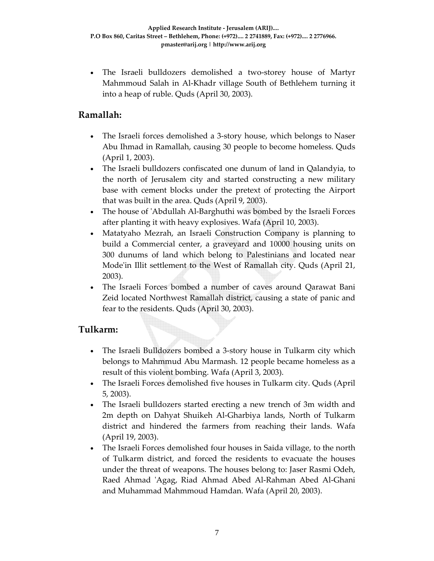• The Israeli bulldozers demolished a two‐storey house of Martyr Mahmmoud Salah in Al‐Khadr village South of Bethlehem turning it into a heap of ruble. Quds (April 30, 2003).

### **Ramallah:**

- The Israeli forces demolished a 3-story house, which belongs to Naser Abu Ihmad in Ramallah, causing 30 people to become homeless. Quds (April 1, 2003).
- The Israeli bulldozers confiscated one dunum of land in Qalandyia, to the north of Jerusalem city and started constructing a new military base with cement blocks under the pretext of protecting the Airport that was built in the area. Quds (April 9, 2003).
- The house of 'Abdullah Al-Barghuthi was bombed by the Israeli Forces after planting it with heavy explosives. Wafa (April 10, 2003).
- Matatyaho Mezrah, an Israeli Construction Company is planning to build a Commercial center, a graveyard and 10000 housing units on 300 dunums of land which belong to Palestinians and located near Mode'in Illit settlement to the West of Ramallah city. Quds (April 21, 2003).
- The Israeli Forces bombed a number of caves around Qarawat Bani Zeid located Northwest Ramallah district, causing a state of panic and fear to the residents. Quds (April 30, 2003).

#### **Tulkarm:**

- The Israeli Bulldozers bombed a 3‐story house in Tulkarm city which belongs to Mahmmud Abu Marmash. 12 people became homeless as a result of this violent bombing. Wafa (April 3, 2003).
- The Israeli Forces demolished five houses in Tulkarm city. Quds (April 5, 2003).
- The Israeli bulldozers started erecting a new trench of 3m width and 2m depth on Dahyat Shuikeh Al‐Gharbiya lands, North of Tulkarm district and hindered the farmers from reaching their lands. Wafa (April 19, 2003).
- The Israeli Forces demolished four houses in Saida village, to the north of Tulkarm district, and forced the residents to evacuate the houses under the threat of weapons. The houses belong to: Jaser Rasmi Odeh, Raed Ahmad ʹAgag, Riad Ahmad Abed Al‐Rahman Abed Al‐Ghani and Muhammad Mahmmoud Hamdan. Wafa (April 20, 2003).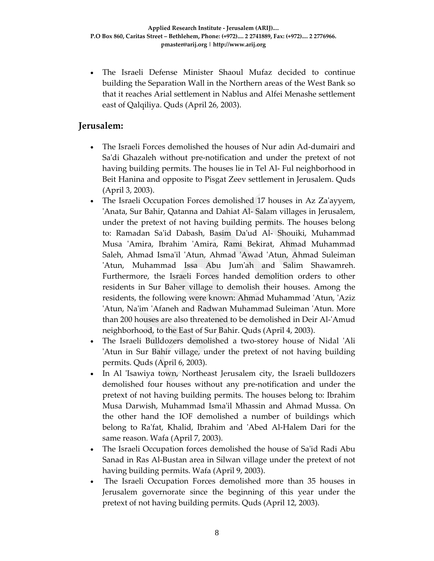• The Israeli Defense Minister Shaoul Mufaz decided to continue building the Separation Wall in the Northern areas of the West Bank so that it reaches Arial settlement in Nablus and Alfei Menashe settlement east of Qalqiliya. Quds (April 26, 2003).

### **Jerusalem:**

- The Israeli Forces demolished the houses of Nur adin Ad‐dumairi and Sa'di Ghazaleh without pre-notification and under the pretext of not having building permits. The houses lie in Tel Al‐ Ful neighborhood in Beit Hanina and opposite to Pisgat Zeev settlement in Jerusalem. Quds (April 3, 2003).
- The Israeli Occupation Forces demolished 17 houses in Az Za'ayyem, ʹAnata, Sur Bahir, Qatanna and Dahiat Al‐ Salam villages in Jerusalem, under the pretext of not having building permits. The houses belong to: Ramadan Saʹid Dabash, Basim Daʹud Al‐ Shouiki, Muhammad Musa ʹAmira, Ibrahim ʹAmira, Rami Bekirat, Ahmad Muhammad Saleh, Ahmad Isma'il 'Atun, Ahmad 'Awad 'Atun, Ahmad Suleiman ʹAtun, Muhammad Issa Abu Jumʹah and Salim Shawamreh. Furthermore, the Israeli Forces handed demolition orders to other residents in Sur Baher village to demolish their houses. Among the residents, the following were known: Ahmad Muhammad ʹAtun, ʹAziz ʹAtun, Naʹim ʹAfaneh and Radwan Muhammad Suleiman ʹAtun. More than 200 houses are also threatened to be demolished in Deir Al‐ʹAmud neighborhood, to the East of Sur Bahir. Quds (April 4, 2003).
- The Israeli Bulldozers demolished a two-storey house of Nidal 'Ali ʹAtun in Sur Bahir village, under the pretext of not having building permits. Quds (April 6, 2003).
- In Al 'Isawiya town, Northeast Jerusalem city, the Israeli bulldozers demolished four houses without any pre‐notification and under the pretext of not having building permits. The houses belong to: Ibrahim Musa Darwish, Muhammad Ismaʹil Mhassin and Ahmad Mussa. On the other hand the IOF demolished a number of buildings which belong to Ra'fat, Khalid, Ibrahim and 'Abed Al-Halem Dari for the same reason. Wafa (April 7, 2003).
- The Israeli Occupation forces demolished the house of Sa'id Radi Abu Sanad in Ras Al‐Bustan area in Silwan village under the pretext of not having building permits. Wafa (April 9, 2003).
- The Israeli Occupation Forces demolished more than 35 houses in Jerusalem governorate since the beginning of this year under the pretext of not having building permits. Quds (April 12, 2003).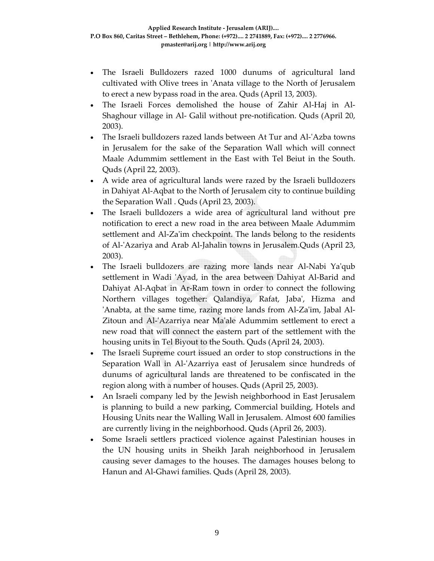- The Israeli Bulldozers razed 1000 dunums of agricultural land cultivated with Olive trees in ʹAnata village to the North of Jerusalem to erect a new bypass road in the area. Quds (April 13, 2003).
- The Israeli Forces demolished the house of Zahir Al-Haj in Al-Shaghour village in Al‐ Galil without pre‐notification. Quds (April 20, 2003).
- The Israeli bulldozers razed lands between At Tur and Al-'Azba towns in Jerusalem for the sake of the Separation Wall which will connect Maale Adummim settlement in the East with Tel Beiut in the South. Quds (April 22, 2003).
- A wide area of agricultural lands were razed by the Israeli bulldozers in Dahiyat Al‐Aqbat to the North of Jerusalem city to continue building the Separation Wall . Quds (April 23, 2003).
- The Israeli bulldozers a wide area of agricultural land without pre notification to erect a new road in the area between Maale Adummim settlement and Al-Za'im checkpoint. The lands belong to the residents of Al‐ʹAzariya and Arab Al‐Jahalin towns in Jerusalem.Quds (April 23, 2003).
- The Israeli bulldozers are razing more lands near Al‐Nabi Yaʹqub settlement in Wadi 'Ayad, in the area between Dahiyat Al-Barid and Dahiyat Al‐Aqbat in Ar‐Ram town in order to connect the following Northern villages together: Qalandiya, Rafat, Jabaʹ, Hizma and 'Anabta, at the same time, razing more lands from Al-Za'im, Jabal Al-Zitoun and Al-'Azarriya near Ma'ale Adummim settlement to erect a new road that will connect the eastern part of the settlement with the housing units in Tel Biyout to the South. Quds (April 24, 2003).
- The Israeli Supreme court issued an order to stop constructions in the Separation Wall in Al-'Azarriya east of Jerusalem since hundreds of dunums of agricultural lands are threatened to be confiscated in the region along with a number of houses. Quds (April 25, 2003).
- An Israeli company led by the Jewish neighborhood in East Jerusalem is planning to build a new parking, Commercial building, Hotels and Housing Units near the Walling Wall in Jerusalem. Almost 600 families are currently living in the neighborhood. Quds (April 26, 2003).
- Some Israeli settlers practiced violence against Palestinian houses in the UN housing units in Sheikh Jarah neighborhood in Jerusalem causing sever damages to the houses. The damages houses belong to Hanun and Al‐Ghawi families. Quds (April 28, 2003).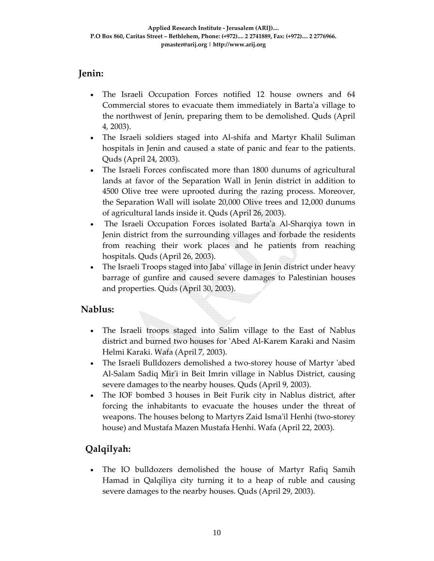### **Jenin:**

- The Israeli Occupation Forces notified 12 house owners and 64 Commercial stores to evacuate them immediately in Bartaʹa village to the northwest of Jenin, preparing them to be demolished. Quds (April 4, 2003).
- The Israeli soldiers staged into Al-shifa and Martyr Khalil Suliman hospitals in Jenin and caused a state of panic and fear to the patients. Quds (April 24, 2003).
- The Israeli Forces confiscated more than 1800 dunums of agricultural lands at favor of the Separation Wall in Jenin district in addition to 4500 Olive tree were uprooted during the razing process. Moreover, the Separation Wall will isolate 20,000 Olive trees and 12,000 dunums of agricultural lands inside it. Quds (April 26, 2003).
- The Israeli Occupation Forces isolated Bartaʹa Al‐Sharqiya town in Jenin district from the surrounding villages and forbade the residents from reaching their work places and he patients from reaching hospitals. Quds (April 26, 2003).
- The Israeli Troops staged into Jabaʹ village in Jenin district under heavy barrage of gunfire and caused severe damages to Palestinian houses and properties. Quds (April 30, 2003).

## **Nablus:**

- The Israeli troops staged into Salim village to the East of Nablus district and burned two houses for ʹAbed Al‐Karem Karaki and Nasim Helmi Karaki. Wafa (April 7, 2003).
- The Israeli Bulldozers demolished a two-storey house of Martyr 'abed Al‐Salam Sadiq Mirʹi in Beit Imrin village in Nablus District, causing severe damages to the nearby houses. Quds (April 9, 2003).
- The IOF bombed 3 houses in Beit Furik city in Nablus district, after forcing the inhabitants to evacuate the houses under the threat of weapons. The houses belong to Martyrs Zaid Isma'il Henhi (two-storey house) and Mustafa Mazen Mustafa Henhi. Wafa (April 22, 2003).

# **Qalqilyah:**

• The IO bulldozers demolished the house of Martyr Rafiq Samih Hamad in Qalqiliya city turning it to a heap of ruble and causing severe damages to the nearby houses. Quds (April 29, 2003).